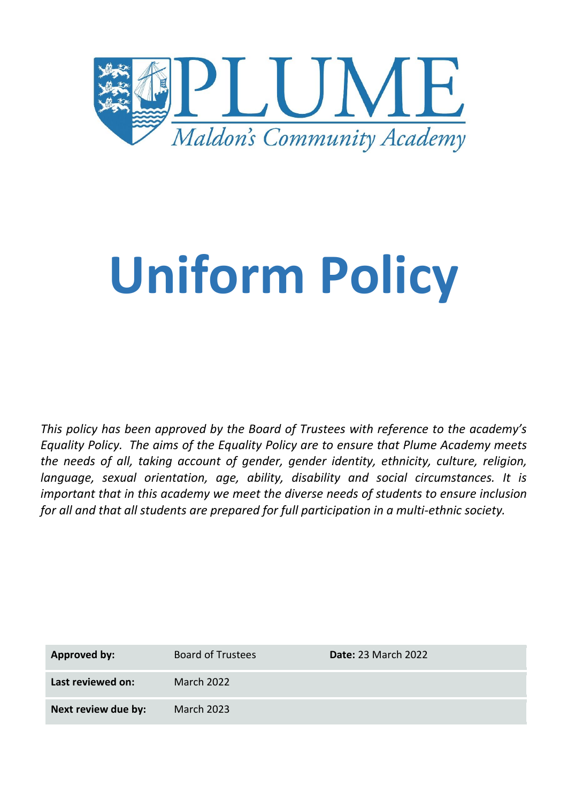

# **Uniform Policy**

*This policy has been approved by the Board of Trustees with reference to the academy's Equality Policy. The aims of the Equality Policy are to ensure that Plume Academy meets the needs of all, taking account of gender, gender identity, ethnicity, culture, religion, language, sexual orientation, age, ability, disability and social circumstances. It is important that in this academy we meet the diverse needs of students to ensure inclusion for all and that all students are prepared for full participation in a multi-ethnic society.*

| <b>Approved by:</b> | <b>Board of Trustees</b> | <b>Date: 23 March 2022</b> |
|---------------------|--------------------------|----------------------------|
| Last reviewed on:   | March 2022               |                            |
| Next review due by: | <b>March 2023</b>        |                            |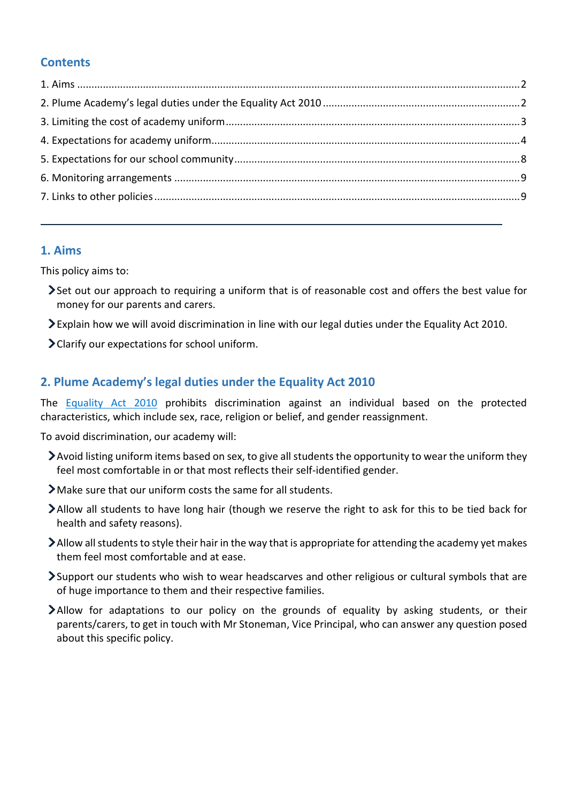# **Contents**

# <span id="page-1-0"></span>**1. Aims**

This policy aims to:

- Set out our approach to requiring a uniform that is of reasonable cost and offers the best value for money for our parents and carers.
- Explain how we will avoid discrimination in line with our legal duties under the Equality Act 2010.
- Clarify our expectations for school uniform.

# <span id="page-1-1"></span>**2. Plume Academy's legal duties under the Equality Act 2010**

The [Equality Act 2010](https://www.legislation.gov.uk/ukpga/2010/15/contents) prohibits discrimination against an individual based on the protected characteristics, which include sex, race, religion or belief, and gender reassignment.

To avoid discrimination, our academy will:

- Avoid listing uniform items based on sex, to give all students the opportunity to wear the uniform they feel most comfortable in or that most reflects their self-identified gender.
- Make sure that our uniform costs the same for all students.
- Allow all students to have long hair (though we reserve the right to ask for this to be tied back for health and safety reasons).
- $\blacktriangleright$  Allow all students to style their hair in the way that is appropriate for attending the academy yet makes them feel most comfortable and at ease.
- Support our students who wish to wear headscarves and other religious or cultural symbols that are of huge importance to them and their respective families.
- Allow for adaptations to our policy on the grounds of equality by asking students, or their parents/carers, to get in touch with Mr Stoneman, Vice Principal, who can answer any question posed about this specific policy.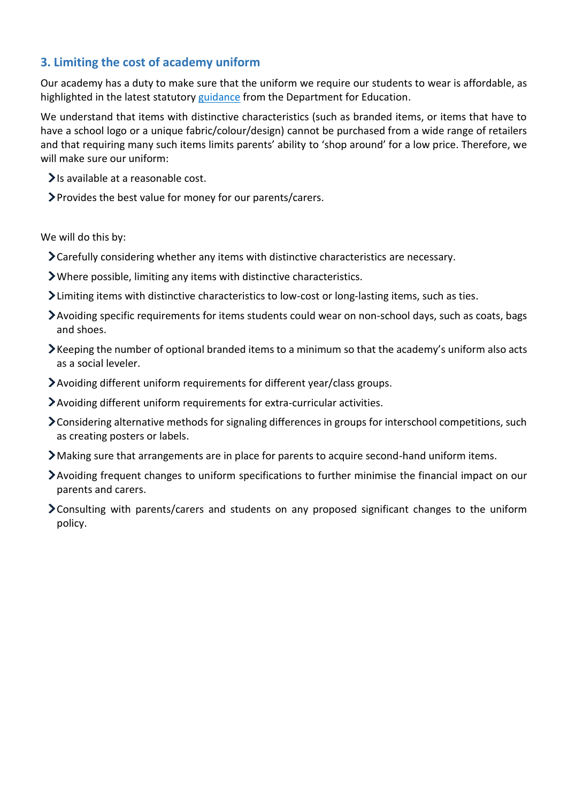# <span id="page-2-0"></span>**3. Limiting the cost of academy uniform**

Our academy has a duty to make sure that the uniform we require our students to wear is affordable, as highlighted in the latest statutory [guidance](https://www.gov.uk/government/publications/cost-of-school-uniforms/cost-of-school-uniforms) from the Department for Education.

We understand that items with distinctive characteristics (such as branded items, or items that have to have a school logo or a unique fabric/colour/design) cannot be purchased from a wide range of retailers and that requiring many such items limits parents' ability to 'shop around' for a low price. Therefore, we will make sure our uniform:

- $\blacktriangleright$  Is available at a reasonable cost.
- Provides the best value for money for our parents/carers.

We will do this by:

- Carefully considering whether any items with distinctive characteristics are necessary.
- Where possible, limiting any items with distinctive characteristics.
- Limiting items with distinctive characteristics to low-cost or long-lasting items, such as ties.
- Avoiding specific requirements for items students could wear on non-school days, such as coats, bags and shoes.
- Keeping the number of optional branded items to a minimum so that the academy's uniform also acts as a social leveler.
- Avoiding different uniform requirements for different year/class groups.
- Avoiding different uniform requirements for extra-curricular activities.
- Considering alternative methods for signaling differences in groups for interschool competitions, such as creating posters or labels.
- Making sure that arrangements are in place for parents to acquire second-hand uniform items.
- Avoiding frequent changes to uniform specifications to further minimise the financial impact on our parents and carers.
- Consulting with parents/carers and students on any proposed significant changes to the uniform policy.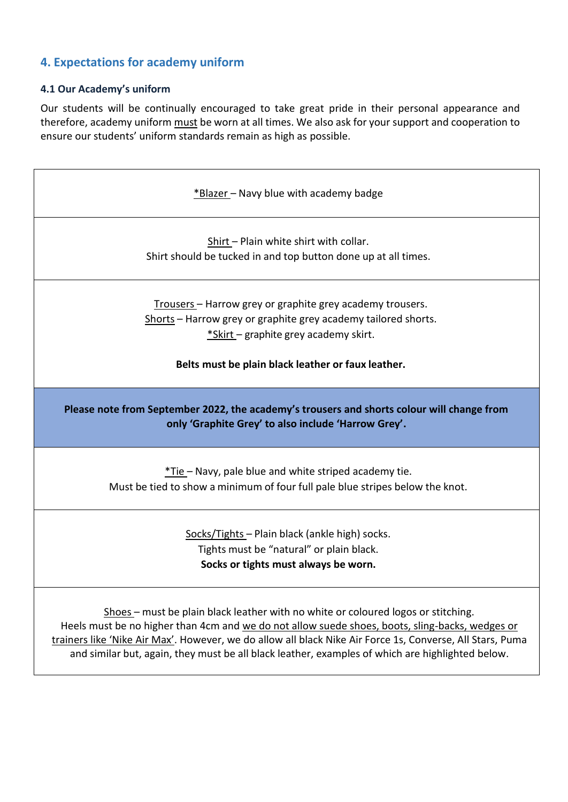# <span id="page-3-0"></span>**4. Expectations for academy uniform**

#### **4.1 Our Academy's uniform**

Our students will be continually encouraged to take great pride in their personal appearance and therefore, academy uniform must be worn at all times. We also ask for your support and cooperation to ensure our students' uniform standards remain as high as possible.

| *Blazer - Navy blue with academy badge                                                                                                                                                                                     |
|----------------------------------------------------------------------------------------------------------------------------------------------------------------------------------------------------------------------------|
| Shirt - Plain white shirt with collar.<br>Shirt should be tucked in and top button done up at all times.                                                                                                                   |
| Trousers - Harrow grey or graphite grey academy trousers.<br>Shorts - Harrow grey or graphite grey academy tailored shorts.<br>*Skirt - graphite grey academy skirt.<br>Belts must be plain black leather or faux leather. |
| Please note from September 2022, the academy's trousers and shorts colour will change from<br>only 'Graphite Grey' to also include 'Harrow Grey'.                                                                          |
| *Tie-Navy, pale blue and white striped academy tie.<br>Must be tied to show a minimum of four full pale blue stripes below the knot.                                                                                       |
| Socks/Tights - Plain black (ankle high) socks.<br>Tights must be "natural" or plain black.<br>Socks or tights must always be worn.                                                                                         |
| Shoes - must be plain black leather with no white or coloured logos or stitching.                                                                                                                                          |

Heels must be no higher than 4cm and we do not allow suede shoes, boots, sling-backs, wedges or trainers like 'Nike Air Max'. However, we do allow all black Nike Air Force 1s, Converse, All Stars, Puma and similar but, again, they must be all black leather, examples of which are highlighted below.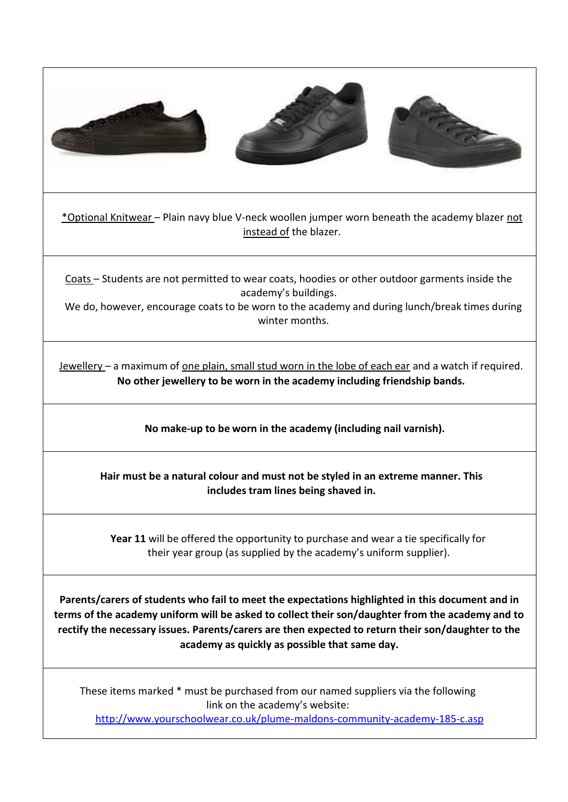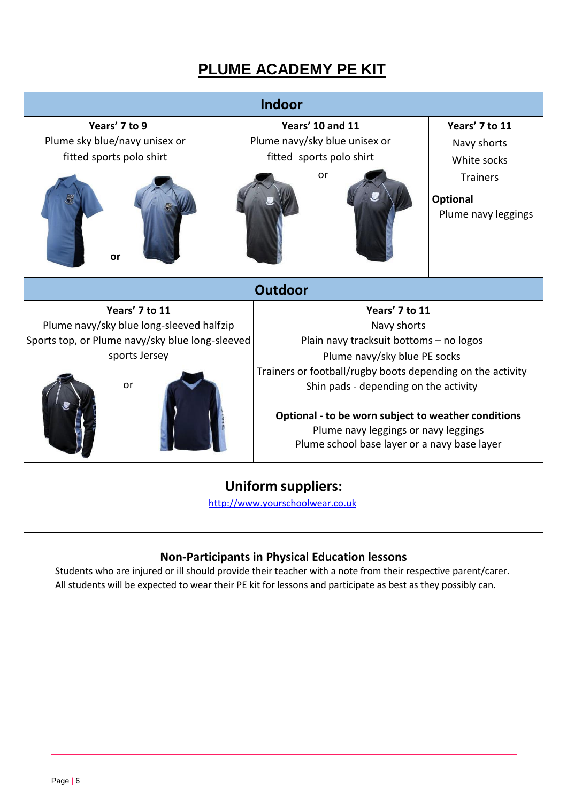# **PLUME ACADEMY PE KIT**



# **Non-Participants in Physical Education lessons**

Students who are injured or ill should provide their teacher with a note from their respective parent/carer. All students will be expected to wear their PE kit for lessons and participate as best as they possibly can.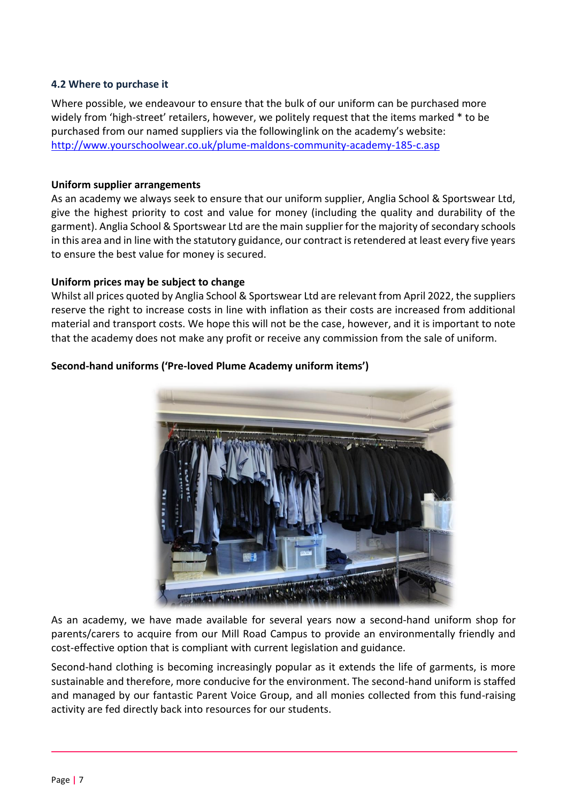#### **4.2 Where to purchase it**

Where possible, we endeavour to ensure that the bulk of our uniform can be purchased more widely from 'high-street' retailers, however, we politely request that the items marked \* to be purchased from our named suppliers via the followinglink on the academy's website: <http://www.yourschoolwear.co.uk/plume-maldons-community-academy-185-c.asp>

#### **Uniform supplier arrangements**

As an academy we always seek to ensure that our uniform supplier, Anglia School & Sportswear Ltd, give the highest priority to cost and value for money (including the quality and durability of the garment). Anglia School & Sportswear Ltd are the main supplier for the majority of secondary schools in this area and in line with the statutory guidance, our contract is retendered at least every five years to ensure the best value for money is secured.

#### **Uniform prices may be subject to change**

Whilst all prices quoted by Anglia School & Sportswear Ltd are relevant from April 2022, the suppliers reserve the right to increase costs in line with inflation as their costs are increased from additional material and transport costs. We hope this will not be the case, however, and it is important to note that the academy does not make any profit or receive any commission from the sale of uniform.



#### **Second-hand uniforms ('Pre-loved Plume Academy uniform items')**

As an academy, we have made available for several years now a second-hand uniform shop for parents/carers to acquire from our Mill Road Campus to provide an environmentally friendly and cost-effective option that is compliant with current legislation and guidance.

Second-hand clothing is becoming increasingly popular as it extends the life of garments, is more sustainable and therefore, more conducive for the environment. The second-hand uniform is staffed and managed by our fantastic Parent Voice Group, and all monies collected from this fund-raising activity are fed directly back into resources for our students.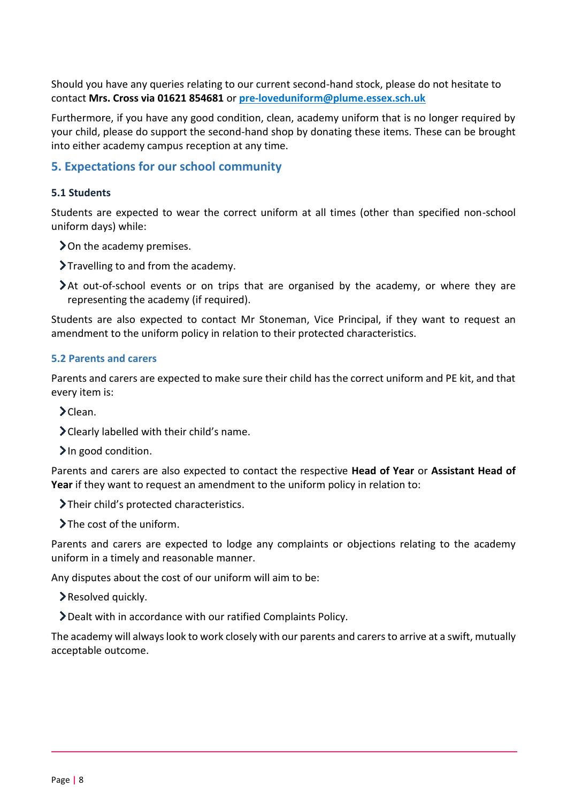Should you have any queries relating to our current second-hand stock, please do not hesitate to contact **Mrs. Cross via 01621 854681** or **[pre-loveduniform@plume.essex.sch.uk](mailto:pre-loveduniform@plume.essex.sch.uk)**

Furthermore, if you have any good condition, clean, academy uniform that is no longer required by your child, please do support the second-hand shop by donating these items. These can be brought into either academy campus reception at any time.

### <span id="page-7-0"></span>**5. Expectations for our school community**

#### **5.1 Students**

Students are expected to wear the correct uniform at all times (other than specified non-school uniform days) while:

> On the academy premises.

Travelling to and from the academy.

At out-of-school events or on trips that are organised by the academy, or where they are representing the academy (if required).

Students are also expected to contact Mr Stoneman, Vice Principal, if they want to request an amendment to the uniform policy in relation to their protected characteristics.

#### **5.2 Parents and carers**

Parents and carers are expected to make sure their child has the correct uniform and PE kit, and that every item is:

 $\blacktriangleright$  Clean.

Clearly labelled with their child's name.

In good condition.

Parents and carers are also expected to contact the respective **Head of Year** or **Assistant Head of Year** if they want to request an amendment to the uniform policy in relation to:

Their child's protected characteristics.

 $\blacktriangleright$  The cost of the uniform.

Parents and carers are expected to lodge any complaints or objections relating to the academy uniform in a timely and reasonable manner.

Any disputes about the cost of our uniform will aim to be:

Resolved quickly.

Dealt with in accordance with our ratified Complaints Policy.

The academy will always look to work closely with our parents and carers to arrive at a swift, mutually acceptable outcome.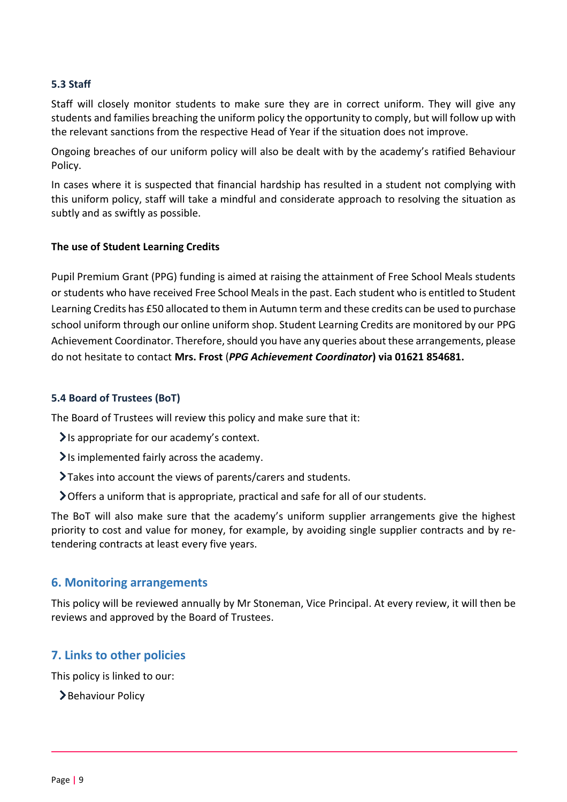#### **5.3 Staff**

Staff will closely monitor students to make sure they are in correct uniform. They will give any students and families breaching the uniform policy the opportunity to comply, but will follow up with the relevant sanctions from the respective Head of Year if the situation does not improve.

Ongoing breaches of our uniform policy will also be dealt with by the academy's ratified Behaviour Policy.

In cases where it is suspected that financial hardship has resulted in a student not complying with this uniform policy, staff will take a mindful and considerate approach to resolving the situation as subtly and as swiftly as possible.

#### **The use of Student Learning Credits**

Pupil Premium Grant (PPG) funding is aimed at raising the attainment of Free School Meals students or students who have received Free School Meals in the past. Each student who is entitled to Student Learning Credits has £50 allocated to them in Autumn term and these credits can be used to purchase school uniform through our online uniform shop. Student Learning Credits are monitored by our PPG Achievement Coordinator. Therefore, should you have any queries about these arrangements, please do not hesitate to contact **Mrs. Frost** (*PPG Achievement Coordinator***) via 01621 854681.**

#### **5.4 Board of Trustees (BoT)**

The Board of Trustees will review this policy and make sure that it:

- $\blacktriangleright$  is appropriate for our academy's context.
- $\blacktriangleright$  is implemented fairly across the academy.
- Takes into account the views of parents/carers and students.
- Offers a uniform that is appropriate, practical and safe for all of our students.

The BoT will also make sure that the academy's uniform supplier arrangements give the highest priority to cost and value for money, for example, by avoiding single supplier contracts and by retendering contracts at least every five years.

#### <span id="page-8-0"></span>**6. Monitoring arrangements**

This policy will be reviewed annually by Mr Stoneman, Vice Principal. At every review, it will then be reviews and approved by the Board of Trustees.

## <span id="page-8-1"></span>**7. Links to other policies**

This policy is linked to our:

>Behaviour Policy